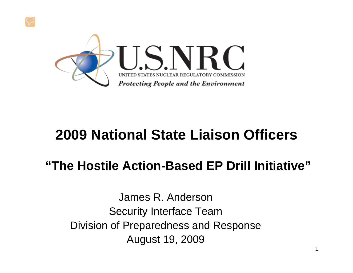

#### **2009 National State Liaison Officers**

#### **"The Hostile Action-Based EP Drill Initiative"**

James R. AndersonSecurity Interface Team Division of Preparedness and Response August 19, 2009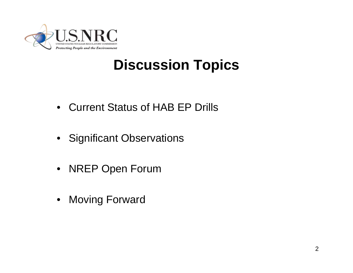

### **Discussion Topics**

- Current Status of HAB EP Drills
- Significant Observations
- NREP Open Forum
- Moving Forward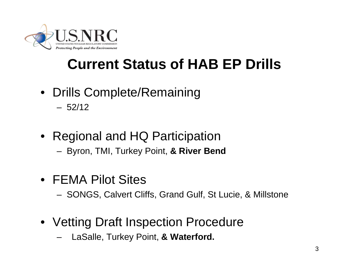

## **Current Status of HAB EP Drills**

- Drills Complete/Remaining  $-52/12$
- Regional and HQ Participation
	- Byron, TMI, Turkey Point, **& River Bend**
- FEMA Pilot Sites
	- SONGS, Calvert Cliffs, Grand Gulf, St Lucie, & Millstone
- Vetting Draft Inspection Procedure
	- LaSalle, Turkey Point, **& Waterford.**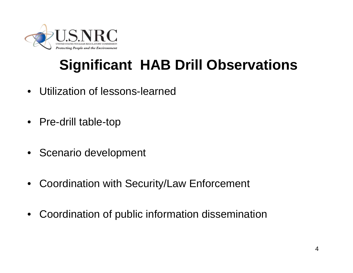

# **Significant HAB Drill Observations**

- Utilization of lessons-learned
- Pre-drill table-top
- Scenario development
- Coordination with Security/Law Enforcement
- Coordination of public information dissemination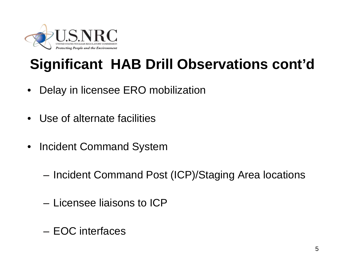

# **Significant HAB Drill Observations cont'd**

- Delay in licensee ERO mobilization
- Use of alternate facilities
- Incident Command System
	- Incident Command Post (ICP)/Staging Area locations
	- Licensee liaisons to ICP
	- EOC interfaces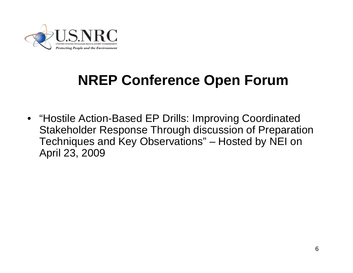

## **NREP Conference Open Forum**

• "Hostile Action-Based EP Drills: Improving Coordinated Stakeholder Response Through discussion of Preparation Techniques and Key Observations" – Hosted by NEI on April 23, 2009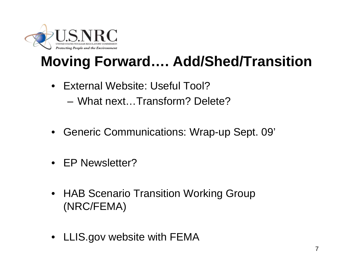

# **Moving Forward…. Add/Shed/Transition**

- External Website: Useful Tool?
	- What next…Transform? Delete?
- Generic Communications: Wrap-up Sept. 09'
- EP Newsletter?
- HAB Scenario Transition Working Group (NRC/FEMA)
- LLIS.gov website with FEMA